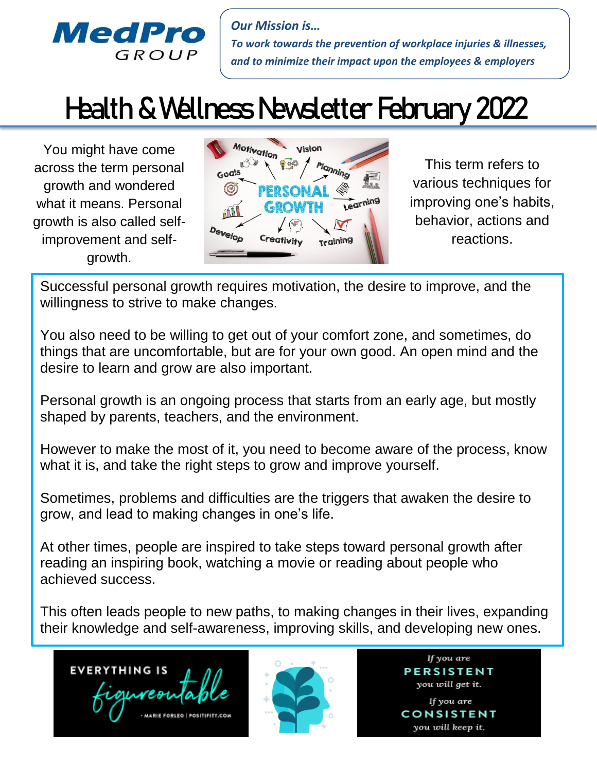

*Our Mission is… To work towards the prevention of workplace injuries & illnesses, and to minimize their impact upon the employees & employers*

## Health & Wellness Newsletter February 2022

You might have come across the term personal growth and wondered what it means. Personal growth is also called selfimprovement and selfgrowth.



This term refers to various techniques for improving one's habits, behavior, actions and reactions.

 Successful personal growth requires motivation, the desire to improve, and the willingness to strive to make changes.

You also need to be willing to get out of your comfort zone, and sometimes, do things that are uncomfortable, but are for your own good. An open mind and the desire to learn and grow are also important.

Personal growth is an ongoing process that starts from an early age, but mostly shaped by parents, teachers, and the environment.

However to make the most of it, you need to become aware of the process, know what it is, and take the right steps to grow and improve yourself.

Sometimes, problems and difficulties are the triggers that awaken the desire to grow, and lead to making changes in one's life.

At other times, people are inspired to take steps toward personal growth after reading an inspiring book, watching a movie or reading about people who achieved success.

This often leads people to new paths, to making changes in their lives, expanding their knowledge and self-awareness, improving skills, and developing new ones.

**EVERYTHING IS** 



If you are **PERSISTENT** you will get it. If you are CONSISTENT

you will keep it.